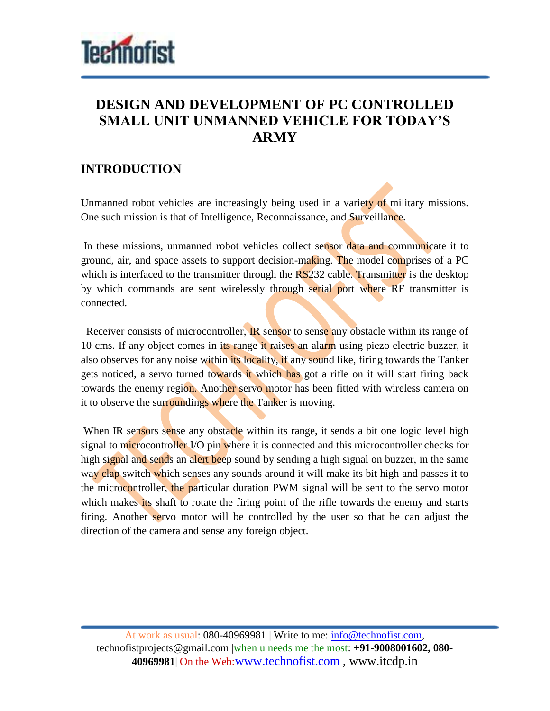

# **DESIGN AND DEVELOPMENT OF PC CONTROLLED SMALL UNIT UNMANNED VEHICLE FOR TODAY'S ARMY**

#### **INTRODUCTION**

Unmanned robot vehicles are increasingly being used in a variety of military missions. One such mission is that of Intelligence, Reconnaissance, and Surveillance.

In these missions, unmanned robot vehicles collect sensor data and communicate it to ground, air, and space assets to support decision-making. The model comprises of a PC which is interfaced to the transmitter through the  $RS<sub>232</sub>$  cable. Transmitter is the desktop by which commands are sent wirelessly through serial port where RF transmitter is connected.

Receiver consists of microcontroller. **IR** sensor to sense any obstacle within its range of 10 cms. If any object comes in its range it raises an alarm using piezo electric buzzer, it also observes for any noise within its locality, if any sound like, firing towards the Tanker gets noticed, a servo turned towards it which has got a rifle on it will start firing back towards the enemy region. Another servo motor has been fitted with wireless camera on it to observe the surroundings where the Tanker is moving.

When IR sensors sense any obstacle within its range, it sends a bit one logic level high signal to microcontroller I/O pin where it is connected and this microcontroller checks for high signal and sends an alert beep sound by sending a high signal on buzzer, in the same way clap switch which senses any sounds around it will make its bit high and passes it to the microcontroller, the particular duration PWM signal will be sent to the servo motor which makes its shaft to rotate the firing point of the rifle towards the enemy and starts firing. Another servo motor will be controlled by the user so that he can adjust the direction of the camera and sense any foreign object.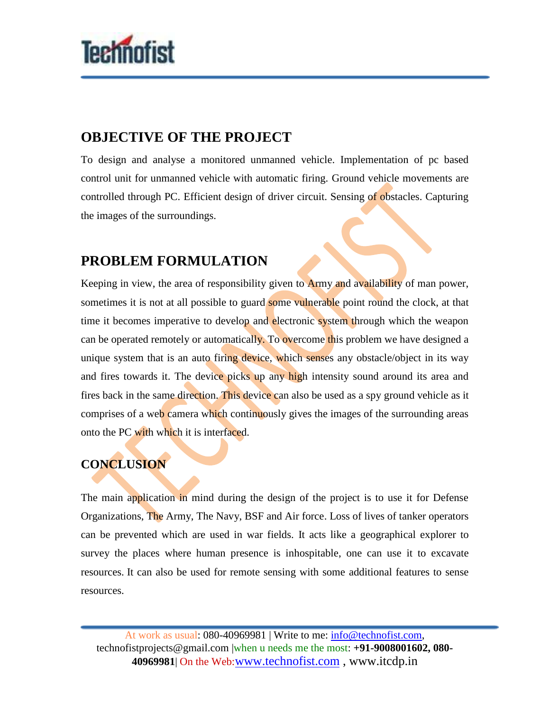

## **OBJECTIVE OF THE PROJECT**

To design and analyse a monitored unmanned vehicle. Implementation of pc based control unit for unmanned vehicle with automatic firing. Ground vehicle movements are controlled through PC. Efficient design of driver circuit. Sensing of obstacles. Capturing the images of the surroundings.

# **PROBLEM FORMULATION**

Keeping in view, the area of responsibility given to **Army and availability** of man power, sometimes it is not at all possible to guard some vulnerable point round the clock, at that time it becomes imperative to develop and electronic system through which the weapon can be operated remotely or automatically. To overcome this problem we have designed a unique system that is an auto firing device, which senses any obstacle/object in its way and fires towards it. The device picks up any high intensity sound around its area and fires back in the same direction. This device can also be used as a spy ground vehicle as it comprises of a web camera which continuously gives the images of the surrounding areas onto the PC with which it is interfaced.

#### **CONCLUSION**

The main application in mind during the design of the project is to use it for Defense Organizations, The Army, The Navy, BSF and Air force. Loss of lives of tanker operators can be prevented which are used in war fields. It acts like a geographical explorer to survey the places where human presence is inhospitable, one can use it to excavate resources. It can also be used for remote sensing with some additional features to sense resources.